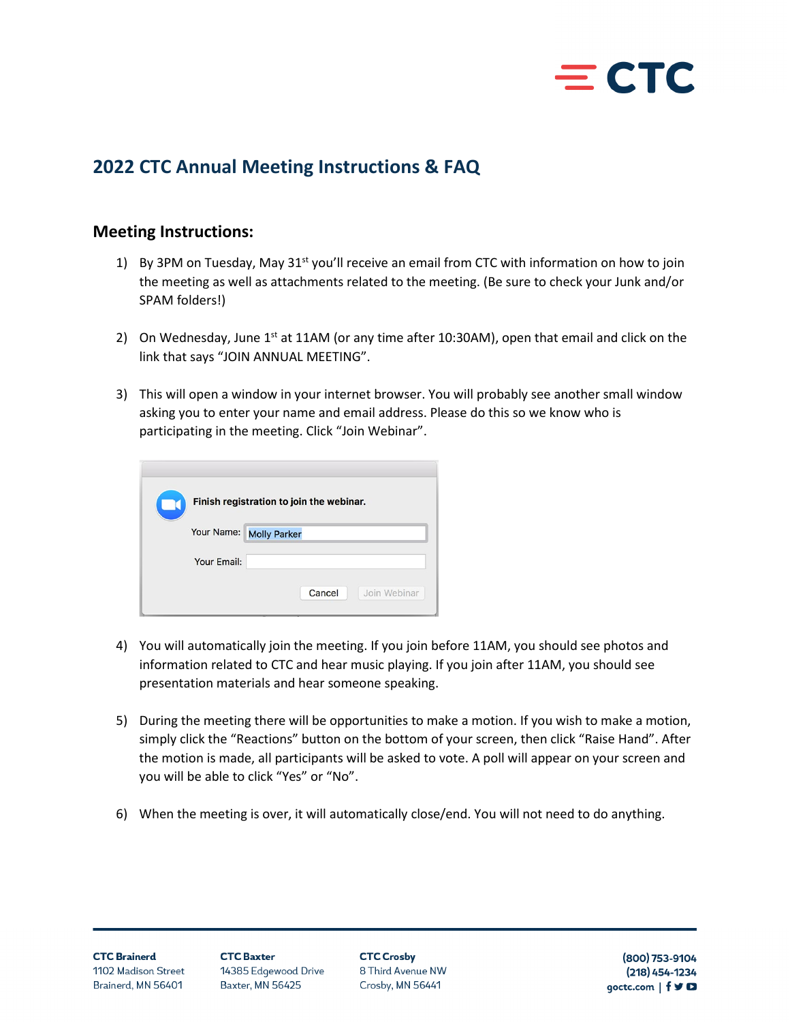

# **2022 CTC Annual Meeting Instructions & FAQ**

# **Meeting Instructions:**

- 1) By 3PM on Tuesday, May 31<sup>st</sup> you'll receive an email from CTC with information on how to join the meeting as well as attachments related to the meeting. (Be sure to check your Junk and/or SPAM folders!)
- 2) On Wednesday, June  $1<sup>st</sup>$  at 11AM (or any time after 10:30AM), open that email and click on the link that says "JOIN ANNUAL MEETING".
- 3) This will open a window in your internet browser. You will probably see another small window asking you to enter your name and email address. Please do this so we know who is participating in the meeting. Click "Join Webinar".

|             | Finish registration to join the webinar. |
|-------------|------------------------------------------|
|             | Your Name: Molly Parker                  |
| Your Email: |                                          |
|             | Join Webinar<br>Cancel                   |

- 4) You will automatically join the meeting. If you join before 11AM, you should see photos and information related to CTC and hear music playing. If you join after 11AM, you should see presentation materials and hear someone speaking.
- 5) During the meeting there will be opportunities to make a motion. If you wish to make a motion, simply click the "Reactions" button on the bottom of your screen, then click "Raise Hand". After the motion is made, all participants will be asked to vote. A poll will appear on your screen and you will be able to click "Yes" or "No".
- 6) When the meeting is over, it will automatically close/end. You will not need to do anything.

**CTC Crosby** 8 Third Avenue NW Crosby, MN 56441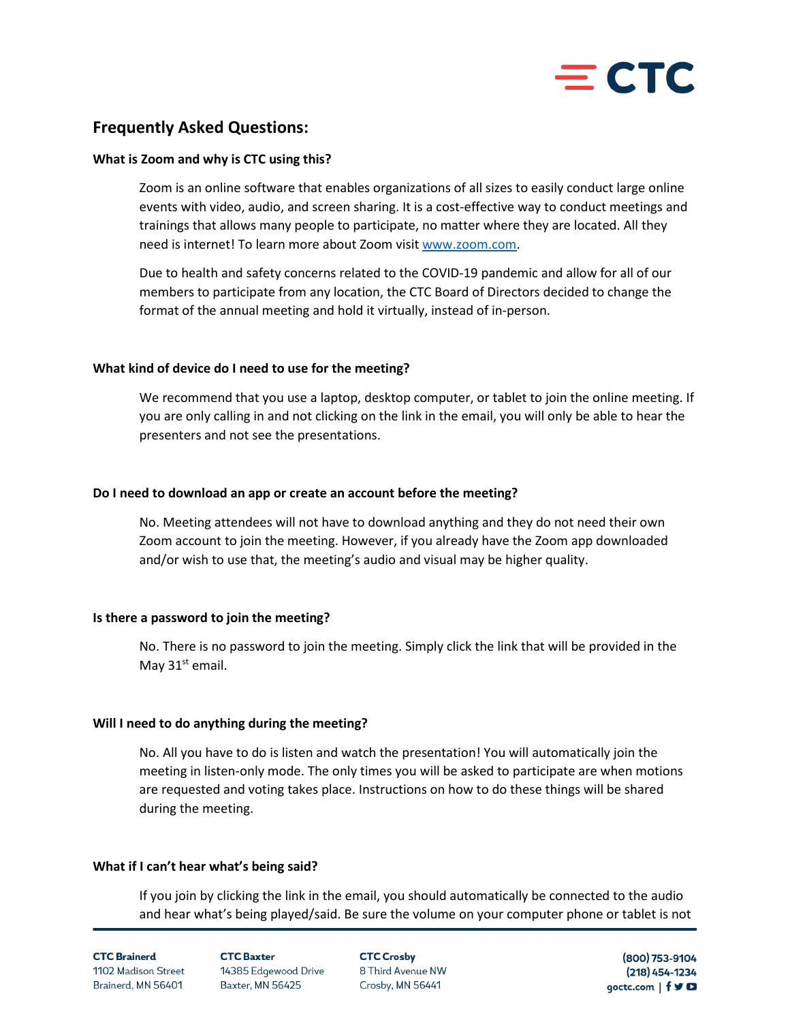

# **Frequently Asked Questions:**

### **What is Zoom and why is CTC using this?**

Zoom is an online software that enables organizations of all sizes to easily conduct large online events with video, audio, and screen sharing. It is a cost-effective way to conduct meetings and trainings that allows many people to participate, no matter where they are located. All they need is internet! To learn more about Zoom visi[t www.zoom.com.](http://www.zoom.com/)

Due to health and safety concerns related to the COVID-19 pandemic and allow for all of our members to participate from any location, the CTC Board of Directors decided to change the format of the annual meeting and hold it virtually, instead of in-person.

### **What kind of device do I need to use for the meeting?**

We recommend that you use a laptop, desktop computer, or tablet to join the online meeting. If you are only calling in and not clicking on the link in the email, you will only be able to hear the presenters and not see the presentations.

### **Do I need to download an app or create an account before the meeting?**

No. Meeting attendees will not have to download anything and they do not need their own Zoom account to join the meeting. However, if you already have the Zoom app downloaded and/or wish to use that, the meeting's audio and visual may be higher quality.

## **Is there a password to join the meeting?**

No. There is no password to join the meeting. Simply click the link that will be provided in the May  $31<sup>st</sup>$  email.

## **Will I need to do anything during the meeting?**

No. All you have to do is listen and watch the presentation! You will automatically join the meeting in listen-only mode. The only times you will be asked to participate are when motions are requested and voting takes place. Instructions on how to do these things will be shared during the meeting.

## **What if I can't hear what's being said?**

If you join by clicking the link in the email, you should automatically be connected to the audio and hear what's being played/said. Be sure the volume on your computer phone or tablet is not

#### **CTC Brainerd** 1102 Madison Street Brainerd, MN 56401

**CTC Bayter** 14385 Edgewood Drive Baxter, MN 56425

**CTC Crosby** 8 Third Avenue NW Crosby, MN 56441

(800) 753-9104  $(218)$  454-1234 goctc.com | f y D